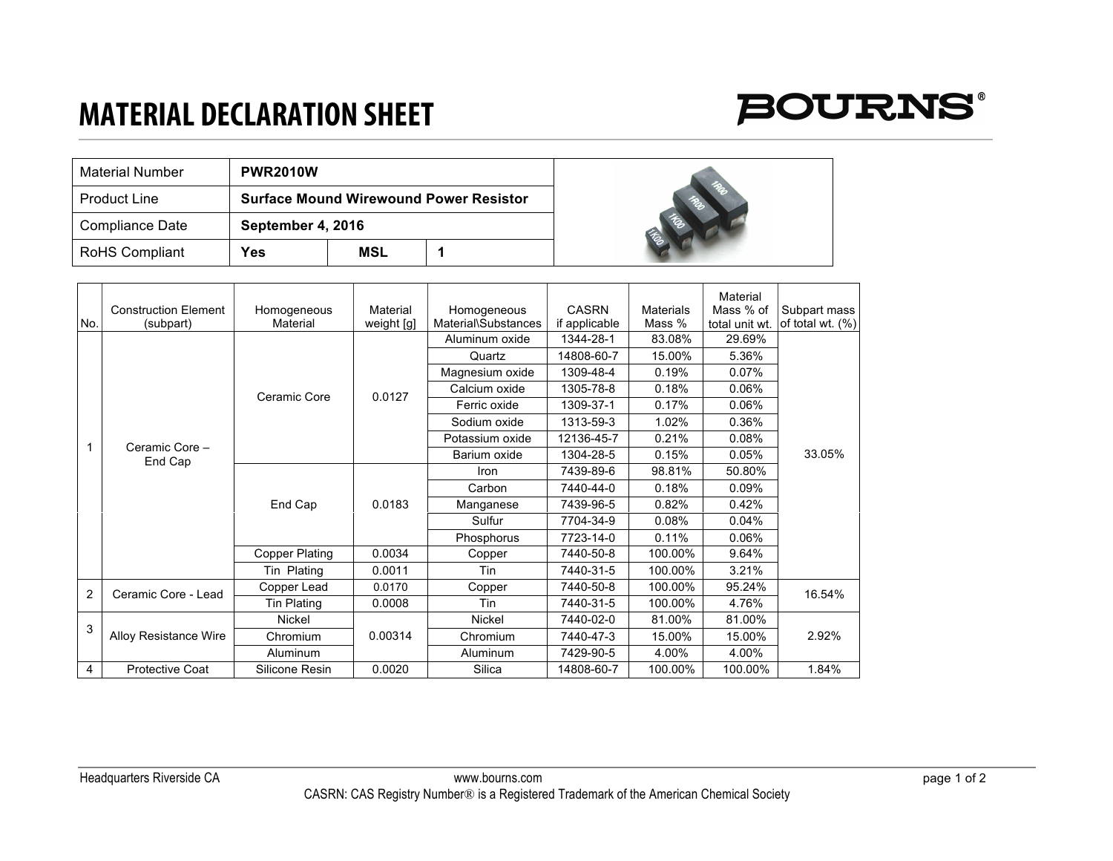## **MATERIAL DECLARATION SHEET**



| Material Number       | <b>PWR2010W</b>   |                                               |  |  |  |
|-----------------------|-------------------|-----------------------------------------------|--|--|--|
| <b>Product Line</b>   |                   | <b>Surface Mound Wirewound Power Resistor</b> |  |  |  |
| Compliance Date       | September 4, 2016 |                                               |  |  |  |
| <b>RoHS Compliant</b> | Yes               | MSL                                           |  |  |  |

|                |                              |                       |            |                     |               |           | Material       |                     |
|----------------|------------------------------|-----------------------|------------|---------------------|---------------|-----------|----------------|---------------------|
|                | <b>Construction Element</b>  | Homogeneous           | Material   | Homogeneous         | <b>CASRN</b>  | Materials | Mass % of      | Subpart mass        |
| No.            | (subpart)                    | Material              | weight [g] | Material\Substances | if applicable | Mass %    | total unit wt. | of total wt. $(\%)$ |
|                | Ceramic Core -<br>End Cap    | Ceramic Core          | 0.0127     | Aluminum oxide      | 1344-28-1     | 83.08%    | 29.69%         | 33.05%              |
|                |                              |                       |            | Quartz              | 14808-60-7    | 15.00%    | 5.36%          |                     |
|                |                              |                       |            | Magnesium oxide     | 1309-48-4     | 0.19%     | 0.07%          |                     |
|                |                              |                       |            | Calcium oxide       | 1305-78-8     | 0.18%     | 0.06%          |                     |
|                |                              |                       |            | Ferric oxide        | 1309-37-1     | 0.17%     | 0.06%          |                     |
|                |                              |                       |            | Sodium oxide        | 1313-59-3     | 1.02%     | 0.36%          |                     |
|                |                              |                       |            | Potassium oxide     | 12136-45-7    | 0.21%     | 0.08%          |                     |
|                |                              |                       |            | Barium oxide        | 1304-28-5     | 0.15%     | 0.05%          |                     |
|                |                              | End Cap               | 0.0183     | Iron                | 7439-89-6     | 98.81%    | 50.80%         |                     |
|                |                              |                       |            | Carbon              | 7440-44-0     | 0.18%     | 0.09%          |                     |
|                |                              |                       |            | Manganese           | 7439-96-5     | 0.82%     | 0.42%          |                     |
|                |                              |                       |            | Sulfur              | 7704-34-9     | 0.08%     | 0.04%          |                     |
|                |                              |                       |            | Phosphorus          | 7723-14-0     | 0.11%     | 0.06%          |                     |
|                |                              | <b>Copper Plating</b> | 0.0034     | Copper              | 7440-50-8     | 100.00%   | 9.64%          |                     |
|                |                              | Tin Plating           | 0.0011     | Tin                 | 7440-31-5     | 100.00%   | 3.21%          |                     |
| $\overline{2}$ | Ceramic Core - Lead          | Copper Lead           | 0.0170     | Copper              | 7440-50-8     | 100.00%   | 95.24%         | 16.54%              |
|                |                              | <b>Tin Plating</b>    | 0.0008     | Tin                 | 7440-31-5     | 100.00%   | 4.76%          |                     |
| 3              | <b>Alloy Resistance Wire</b> | <b>Nickel</b>         | 0.00314    | <b>Nickel</b>       | 7440-02-0     | 81.00%    | 81.00%         |                     |
|                |                              | Chromium              |            | Chromium            | 7440-47-3     | 15.00%    | 15.00%         | 2.92%               |
|                |                              | Aluminum              |            | Aluminum            | 7429-90-5     | 4.00%     | 4.00%          |                     |
| 4              | <b>Protective Coat</b>       | Silicone Resin        | 0.0020     | Silica              | 14808-60-7    | 100.00%   | 100.00%        | 1.84%               |